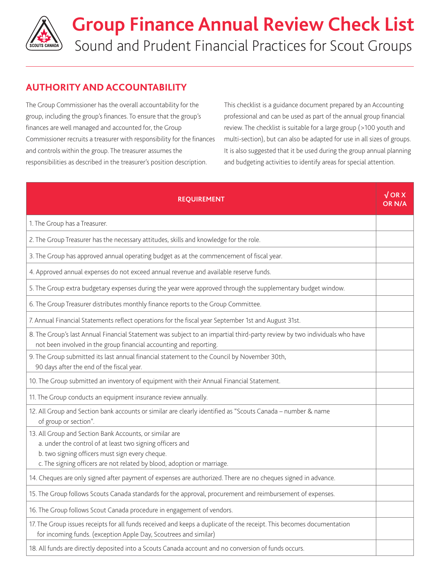

## **AUTHORITY AND ACCOUNTABILITY**

The Group Commissioner has the overall accountability for the group, including the group's finances. To ensure that the group's finances are well managed and accounted for, the Group Commissioner recruits a treasurer with responsibility for the finances and controls within the group. The treasurer assumes the responsibilities as described in the treasurer's position description.

This checklist is a guidance document prepared by an Accounting professional and can be used as part of the annual group financial review. The checklist is suitable for a large group (>100 youth and multi-section), but can also be adapted for use in all sizes of groups. It is also suggested that it be used during the group annual planning and budgeting activities to identify areas for special attention.

| <b>REQUIREMENT</b>                                                                                                                                                                                                                                 | $\sqrt{ORX}$<br><b>OR N/A</b> |
|----------------------------------------------------------------------------------------------------------------------------------------------------------------------------------------------------------------------------------------------------|-------------------------------|
| 1. The Group has a Treasurer.                                                                                                                                                                                                                      |                               |
| 2. The Group Treasurer has the necessary attitudes, skills and knowledge for the role.                                                                                                                                                             |                               |
| 3. The Group has approved annual operating budget as at the commencement of fiscal year.                                                                                                                                                           |                               |
| 4. Approved annual expenses do not exceed annual revenue and available reserve funds.                                                                                                                                                              |                               |
| 5. The Group extra budgetary expenses during the year were approved through the supplementary budget window.                                                                                                                                       |                               |
| 6. The Group Treasurer distributes monthly finance reports to the Group Committee.                                                                                                                                                                 |                               |
| 7. Annual Financial Statements reflect operations for the fiscal year September 1st and August 31st.                                                                                                                                               |                               |
| 8. The Group's last Annual Financial Statement was subject to an impartial third-party review by two individuals who have<br>not been involved in the group financial accounting and reporting.                                                    |                               |
| 9. The Group submitted its last annual financial statement to the Council by November 30th,<br>90 days after the end of the fiscal year.                                                                                                           |                               |
| 10. The Group submitted an inventory of equipment with their Annual Financial Statement.                                                                                                                                                           |                               |
| 11. The Group conducts an equipment insurance review annually.                                                                                                                                                                                     |                               |
| 12. All Group and Section bank accounts or similar are clearly identified as "Scouts Canada - number & name<br>of group or section".                                                                                                               |                               |
| 13. All Group and Section Bank Accounts, or similar are<br>a. under the control of at least two signing officers and<br>b. two signing officers must sign every cheque.<br>c. The signing officers are not related by blood, adoption or marriage. |                               |
| 14. Cheques are only signed after payment of expenses are authorized. There are no cheques signed in advance.                                                                                                                                      |                               |
| 15. The Group follows Scouts Canada standards for the approval, procurement and reimbursement of expenses.                                                                                                                                         |                               |
| 16. The Group follows Scout Canada procedure in engagement of vendors.                                                                                                                                                                             |                               |
| 17. The Group issues receipts for all funds received and keeps a duplicate of the receipt. This becomes documentation<br>for incoming funds. (exception Apple Day, Scoutrees and similar)                                                          |                               |
| 18. All funds are directly deposited into a Scouts Canada account and no conversion of funds occurs.                                                                                                                                               |                               |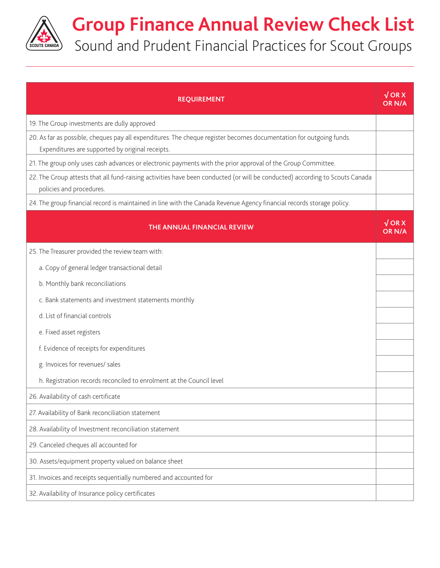

## **Group Finance Annual Review Check List** Sound and Prudent Financial Practices for Scout Groups

**REQUIREMENT √ OR X OR N/A** 19. The Group investments are dully approved 20. As far as possible, cheques pay all expenditures. The cheque register becomes documentation for outgoing funds. Expenditures are supported by original receipts. 21. The group only uses cash advances or electronic payments with the prior approval of the Group Committee. 22. The Group attests that all fund-raising activities have been conducted (or will be conducted) according to Scouts Canada policies and procedures. 24. The group financial record is maintained in line with the Canada Revenue Agency financial records storage policy. **THE ANNUAL FINANCIAL REVIEW √ OR X OR N/A** 25. The Treasurer provided the review team with: a. Copy of general ledger transactional detail b. Monthly bank reconciliations c. Bank statements and investment statements monthly d. List of financial controls e. Fixed asset registers f. Evidence of receipts for expenditures g. Invoices for revenues/ sales h. Registration records reconciled to enrolment at the Council level 26. Availability of cash certificate 27. Availability of Bank reconciliation statement 28. Availability of Investment reconciliation statement 29. Canceled cheques all accounted for 30. Assets/equipment property valued on balance sheet 31. Invoices and receipts sequentially numbered and accounted for 32. Availability of Insurance policy certificates